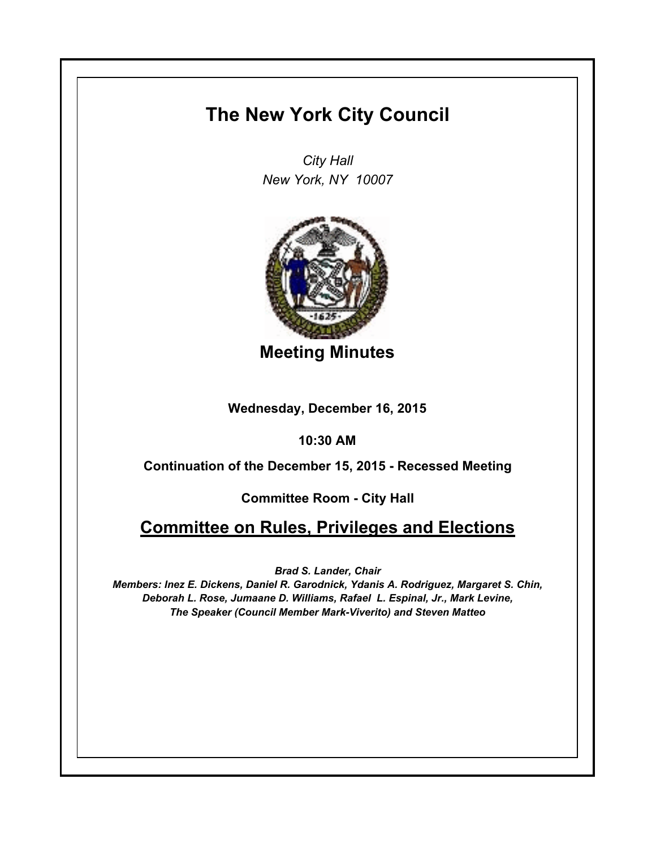## **The New York City Council**

*City Hall New York, NY 10007*



**Meeting Minutes**

**Wednesday, December 16, 2015**

**10:30 AM**

**Continuation of the December 15, 2015 - Recessed Meeting**

**Committee Room - City Hall**

## **Committee on Rules, Privileges and Elections**

*Brad S. Lander, Chair*

*Members: Inez E. Dickens, Daniel R. Garodnick, Ydanis A. Rodriguez, Margaret S. Chin, Deborah L. Rose, Jumaane D. Williams, Rafael L. Espinal, Jr., Mark Levine, The Speaker (Council Member Mark-Viverito) and Steven Matteo*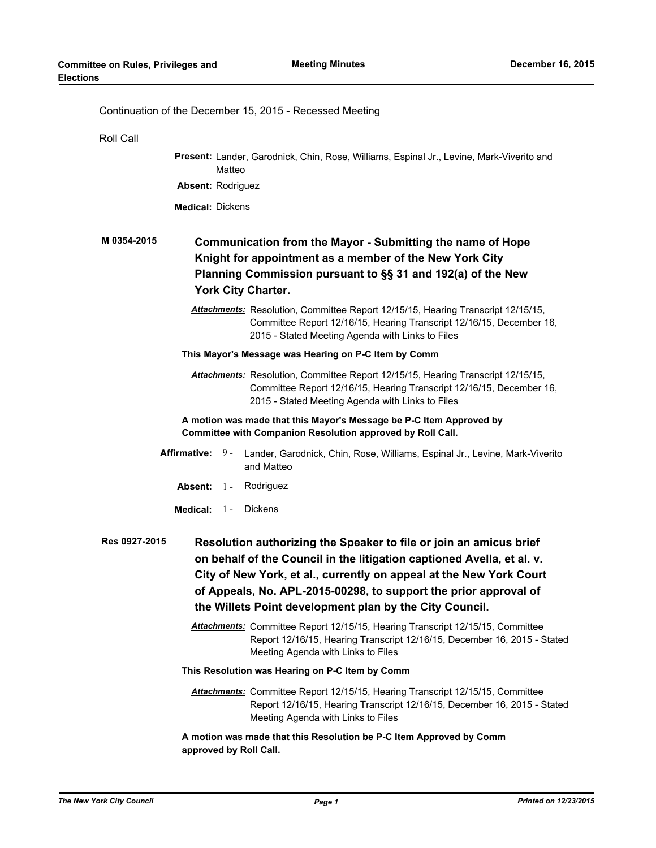| Continuation of the December 15, 2015 - Recessed Meeting                                                                                                                                                                                                                                                                                                            |  |  |  |
|---------------------------------------------------------------------------------------------------------------------------------------------------------------------------------------------------------------------------------------------------------------------------------------------------------------------------------------------------------------------|--|--|--|
| Roll Call                                                                                                                                                                                                                                                                                                                                                           |  |  |  |
| Present: Lander, Garodnick, Chin, Rose, Williams, Espinal Jr., Levine, Mark-Viverito and<br>Matteo                                                                                                                                                                                                                                                                  |  |  |  |
| Absent: Rodriguez                                                                                                                                                                                                                                                                                                                                                   |  |  |  |
| <b>Medical: Dickens</b>                                                                                                                                                                                                                                                                                                                                             |  |  |  |
| M 0354-2015<br>Communication from the Mayor - Submitting the name of Hope<br>Knight for appointment as a member of the New York City<br>Planning Commission pursuant to §§ 31 and 192(a) of the New<br>York City Charter.                                                                                                                                           |  |  |  |
| Attachments: Resolution, Committee Report 12/15/15, Hearing Transcript 12/15/15,<br>Committee Report 12/16/15, Hearing Transcript 12/16/15, December 16,<br>2015 - Stated Meeting Agenda with Links to Files                                                                                                                                                        |  |  |  |
| This Mayor's Message was Hearing on P-C Item by Comm                                                                                                                                                                                                                                                                                                                |  |  |  |
| Attachments: Resolution, Committee Report 12/15/15, Hearing Transcript 12/15/15,<br>Committee Report 12/16/15, Hearing Transcript 12/16/15, December 16,<br>2015 - Stated Meeting Agenda with Links to Files                                                                                                                                                        |  |  |  |
| A motion was made that this Mayor's Message be P-C Item Approved by<br>Committee with Companion Resolution approved by Roll Call.                                                                                                                                                                                                                                   |  |  |  |
| <b>Affirmative:</b><br>9 -<br>Lander, Garodnick, Chin, Rose, Williams, Espinal Jr., Levine, Mark-Viverito<br>and Matteo                                                                                                                                                                                                                                             |  |  |  |
| Absent: 1 -<br>Rodriguez                                                                                                                                                                                                                                                                                                                                            |  |  |  |
| <b>Dickens</b><br>Medical: $1$ -                                                                                                                                                                                                                                                                                                                                    |  |  |  |
| Res 0927-2015<br>Resolution authorizing the Speaker to file or join an amicus brief<br>on behalf of the Council in the litigation captioned Avella, et al. v.<br>City of New York, et al., currently on appeal at the New York Court<br>of Appeals, No. APL-2015-00298, to support the prior approval of<br>the Willets Point development plan by the City Council. |  |  |  |
| Attachments: Committee Report 12/15/15, Hearing Transcript 12/15/15, Committee<br>Report 12/16/15, Hearing Transcript 12/16/15, December 16, 2015 - Stated<br>Meeting Agenda with Links to Files                                                                                                                                                                    |  |  |  |
| This Resolution was Hearing on P-C Item by Comm                                                                                                                                                                                                                                                                                                                     |  |  |  |
| Attachments: Committee Report 12/15/15, Hearing Transcript 12/15/15, Committee<br>Report 12/16/15, Hearing Transcript 12/16/15, December 16, 2015 - Stated<br>Meeting Agenda with Links to Files                                                                                                                                                                    |  |  |  |
| A motion was made that this Resolution be P-C Item Approved by Comm<br>approved by Roll Call.                                                                                                                                                                                                                                                                       |  |  |  |